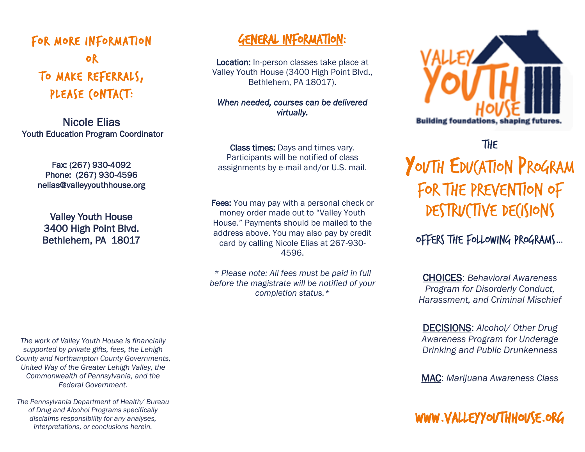## FOR MORE INFORMATION OR TO MAKE REFERRALS, PLEASE CONTACT:

Nicole Elias Youth Education Program Coordinator

> Fax: (267) 930-4092 Phone: (267) 930-4596 nelias@valleyyouthhouse.org

Valley Youth House 3400 High Point Blvd. Bethlehem, PA 18017

*The work of Valley Youth House is financially supported by private gifts, fees, the Lehigh County and Northampton County Governments, United Way of the Greater Lehigh Valley, the Commonwealth of Pennsylvania, and the Federal Government.* 

*The Pennsylvania Department of Health/ Bureau of Drug and Alcohol Programs specifically disclaims responsibility for any analyses, interpretations, or conclusions herein.*

### GENERAL INFORMATION:

Location: In-person classes take place at Valley Youth House (3400 High Point Blvd., Bethlehem, PA 18017).

*When needed, courses can be delivered virtually.* 

Class times: Days and times vary. Participants will be notified of class assignments by e-mail and/or U.S. mail.

Fees: You may pay with a personal check or money order made out to "Valley Youth House." Payments should be mailed to the address above. You may also pay by credit card by calling Nicole Elias at 267-930- 4596.

*\* Please note: All fees must be paid in full before the magistrate will be notified of your completion status.\**

**Building foundations, shaping futu** 

**THE** YOUTH EDUCATION PROGRAM FOR THE PREVENTION OF DESTRUCTIVE DECISIONS

Offers the following programs…

CHOICES: *Behavioral Awareness Program for Disorderly Conduct, Harassment, and Criminal Mischief*

DECISIONS: *Alcohol/ Other Drug Awareness Program for Underage Drinking and Public Drunkenness*

MAC: *Marijuana Awareness Class*

www.valleyyouthhouse.org